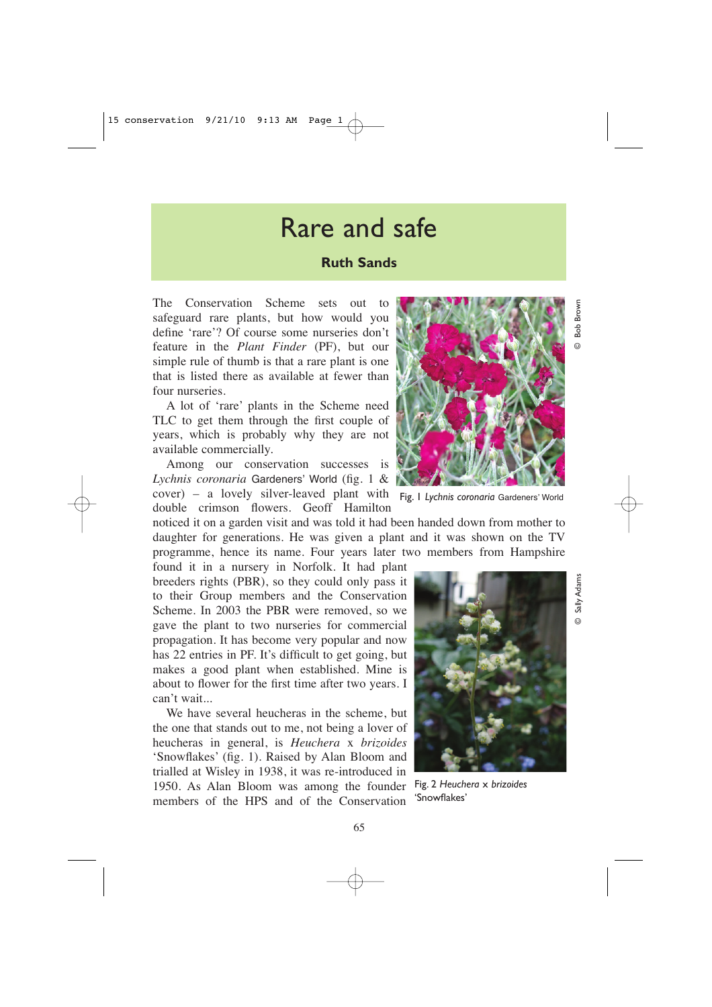## Rare and safe

## **Ruth Sands**

The Conservation Scheme sets out to safeguard rare plants, but how would you define 'rare'? Of course some nurseries don't feature in the *Plant Finder* (PF), but our simple rule of thumb is that a rare plant is one that is listed there as available at fewer than four nurseries.

A lot of 'rare' plants in the Scheme need TLC to get them through the first couple of years, which is probably why they are not available commercially.

Among our conservation successes is *Lychnis coronaria* Gardeners' World (fig. 1 & cover) – a lovely silver-leaved plant with Fig. 1 *Lychnis coronaria* Gardeners' World double crimson flowers. Geoff Hamilton

noticed it on a garden visit and was told it had been handed down from mother to daughter for generations. He was given a plant and it was shown on the TV programme, hence its name. Four years later two members from Hampshire

found it in a nursery in Norfolk. It had plant breeders rights (PBR), so they could only pass it to their Group members and the Conservation Scheme. In 2003 the PBR were removed, so we gave the plant to two nurseries for commercial propagation. It has become very popular and now has 22 entries in PF. It's difficult to get going, but makes a good plant when established. Mine is about to flower for the first time after two years. I can't wait...

We have several heucheras in the scheme, but the one that stands out to me, not being a lover of heucheras in general, is *Heuchera* x *brizoides* 'Snowflakes' (fig. 1). Raised by Alan Bloom and trialled at Wisley in 1938, it was re-introduced in 1950. As Alan Bloom was among the founder Fig. 2 *Heuchera* x *brizoides* members of the HPS and of the Conservation



© Bob Brown

Brown Bob

© Sally Adams

Sally Adams



'Snowflakes'